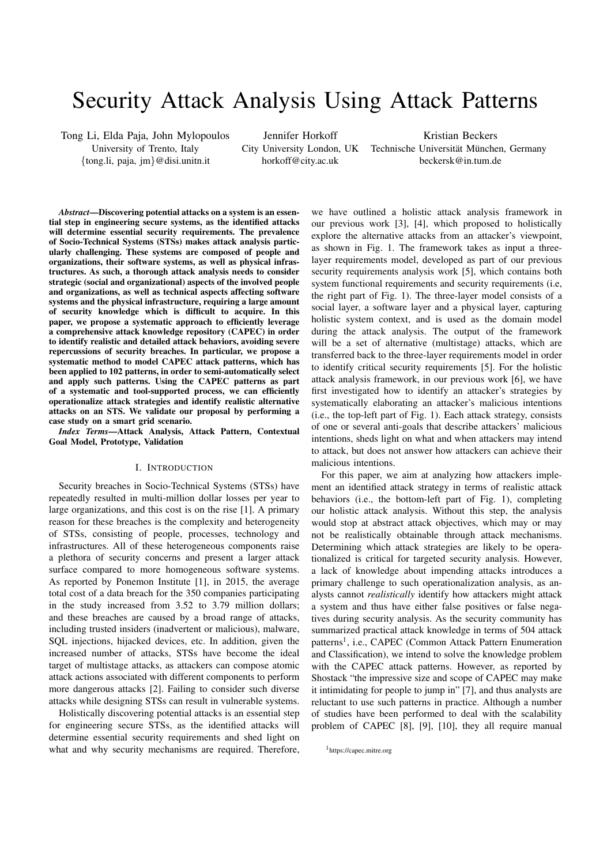# Security Attack Analysis Using Attack Patterns

Tong Li, Elda Paja, John Mylopoulos University of Trento, Italy *{*tong.li, paja, jm*}*@disi.unitn.it

Jennifer Horkoff

City University London, UK horkoff@city.ac.uk

Kristian Beckers Technische Universität München, Germany beckersk@in.tum.de

*Abstract*—Discovering potential attacks on a system is an essential step in engineering secure systems, as the identified attacks will determine essential security requirements. The prevalence of Socio-Technical Systems (STSs) makes attack analysis particularly challenging. These systems are composed of people and organizations, their software systems, as well as physical infrastructures. As such, a thorough attack analysis needs to consider strategic (social and organizational) aspects of the involved people and organizations, as well as technical aspects affecting software systems and the physical infrastructure, requiring a large amount of security knowledge which is difficult to acquire. In this paper, we propose a systematic approach to efficiently leverage a comprehensive attack knowledge repository (CAPEC) in order to identify realistic and detailed attack behaviors, avoiding severe repercussions of security breaches. In particular, we propose a systematic method to model CAPEC attack patterns, which has been applied to 102 patterns, in order to semi-automatically select and apply such patterns. Using the CAPEC patterns as part of a systematic and tool-supported process, we can efficiently operationalize attack strategies and identify realistic alternative attacks on an STS. We validate our proposal by performing a case study on a smart grid scenario.

*Index Terms*—Attack Analysis, Attack Pattern, Contextual Goal Model, Prototype, Validation

# I. INTRODUCTION

Security breaches in Socio-Technical Systems (STSs) have repeatedly resulted in multi-million dollar losses per year to large organizations, and this cost is on the rise [1]. A primary reason for these breaches is the complexity and heterogeneity of STSs, consisting of people, processes, technology and infrastructures. All of these heterogeneous components raise a plethora of security concerns and present a larger attack surface compared to more homogeneous software systems. As reported by Ponemon Institute [1], in 2015, the average total cost of a data breach for the 350 companies participating in the study increased from 3.52 to 3.79 million dollars; and these breaches are caused by a broad range of attacks, including trusted insiders (inadvertent or malicious), malware, SQL injections, hijacked devices, etc. In addition, given the increased number of attacks, STSs have become the ideal target of multistage attacks, as attackers can compose atomic attack actions associated with different components to perform more dangerous attacks [2]. Failing to consider such diverse attacks while designing STSs can result in vulnerable systems.

Holistically discovering potential attacks is an essential step for engineering secure STSs, as the identified attacks will determine essential security requirements and shed light on what and why security mechanisms are required. Therefore,

we have outlined a holistic attack analysis framework in our previous work [3], [4], which proposed to holistically explore the alternative attacks from an attacker's viewpoint, as shown in Fig. 1. The framework takes as input a threelayer requirements model, developed as part of our previous security requirements analysis work [5], which contains both system functional requirements and security requirements (i.e, the right part of Fig. 1). The three-layer model consists of a social layer, a software layer and a physical layer, capturing holistic system context, and is used as the domain model during the attack analysis. The output of the framework will be a set of alternative (multistage) attacks, which are transferred back to the three-layer requirements model in order to identify critical security requirements [5]. For the holistic attack analysis framework, in our previous work [6], we have first investigated how to identify an attacker's strategies by systematically elaborating an attacker's malicious intentions (i.e., the top-left part of Fig. 1). Each attack strategy, consists of one or several anti-goals that describe attackers' malicious intentions, sheds light on what and when attackers may intend to attack, but does not answer how attackers can achieve their malicious intentions.

For this paper, we aim at analyzing how attackers implement an identified attack strategy in terms of realistic attack behaviors (i.e., the bottom-left part of Fig. 1), completing our holistic attack analysis. Without this step, the analysis would stop at abstract attack objectives, which may or may not be realistically obtainable through attack mechanisms. Determining which attack strategies are likely to be operationalized is critical for targeted security analysis. However, a lack of knowledge about impending attacks introduces a primary challenge to such operationalization analysis, as analysts cannot *realistically* identify how attackers might attack a system and thus have either false positives or false negatives during security analysis. As the security community has summarized practical attack knowledge in terms of 504 attack patterns<sup>1</sup>, i.e., CAPEC (Common Attack Pattern Enumeration and Classification), we intend to solve the knowledge problem with the CAPEC attack patterns. However, as reported by Shostack "the impressive size and scope of CAPEC may make it intimidating for people to jump in" [7], and thus analysts are reluctant to use such patterns in practice. Although a number of studies have been performed to deal with the scalability problem of CAPEC [8], [9], [10], they all require manual

<sup>1</sup>https://capec.mitre.org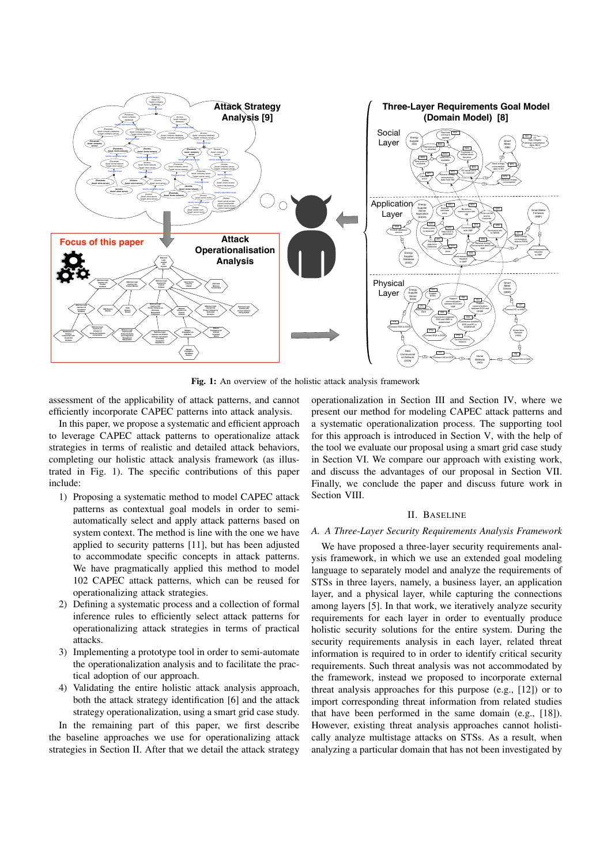

Fig. 1: An overview of the holistic attack analysis framework

assessment of the applicability of attack patterns, and cannot efficiently incorporate CAPEC patterns into attack analysis.

In this paper, we propose a systematic and efficient approach to leverage CAPEC attack patterns to operationalize attack strategies in terms of realistic and detailed attack behaviors, completing our holistic attack analysis framework (as illustrated in Fig. 1). The specific contributions of this paper include:

- 1) Proposing a systematic method to model CAPEC attack patterns as contextual goal models in order to semiautomatically select and apply attack patterns based on system context. The method is line with the one we have applied to security patterns [11], but has been adjusted to accommodate specific concepts in attack patterns. We have pragmatically applied this method to model 102 CAPEC attack patterns, which can be reused for operationalizing attack strategies.
- 2) Defining a systematic process and a collection of formal inference rules to efficiently select attack patterns for operationalizing attack strategies in terms of practical attacks.
- 3) Implementing a prototype tool in order to semi-automate the operationalization analysis and to facilitate the practical adoption of our approach.
- 4) Validating the entire holistic attack analysis approach, both the attack strategy identification [6] and the attack strategy operationalization, using a smart grid case study.

In the remaining part of this paper, we first describe the baseline approaches we use for operationalizing attack strategies in Section II. After that we detail the attack strategy

operationalization in Section III and Section IV, where we present our method for modeling CAPEC attack patterns and a systematic operationalization process. The supporting tool for this approach is introduced in Section V, with the help of the tool we evaluate our proposal using a smart grid case study in Section VI. We compare our approach with existing work, and discuss the advantages of our proposal in Section VII. Finally, we conclude the paper and discuss future work in Section VIII.

# II. BASELINE

## *A. A Three-Layer Security Requirements Analysis Framework*

We have proposed a three-layer security requirements analysis framework, in which we use an extended goal modeling language to separately model and analyze the requirements of STSs in three layers, namely, a business layer, an application layer, and a physical layer, while capturing the connections among layers [5]. In that work, we iteratively analyze security requirements for each layer in order to eventually produce holistic security solutions for the entire system. During the security requirements analysis in each layer, related threat information is required to in order to identify critical security requirements. Such threat analysis was not accommodated by the framework, instead we proposed to incorporate external threat analysis approaches for this purpose (e.g., [12]) or to import corresponding threat information from related studies that have been performed in the same domain (e.g., [18]). However, existing threat analysis approaches cannot holistically analyze multistage attacks on STSs. As a result, when analyzing a particular domain that has not been investigated by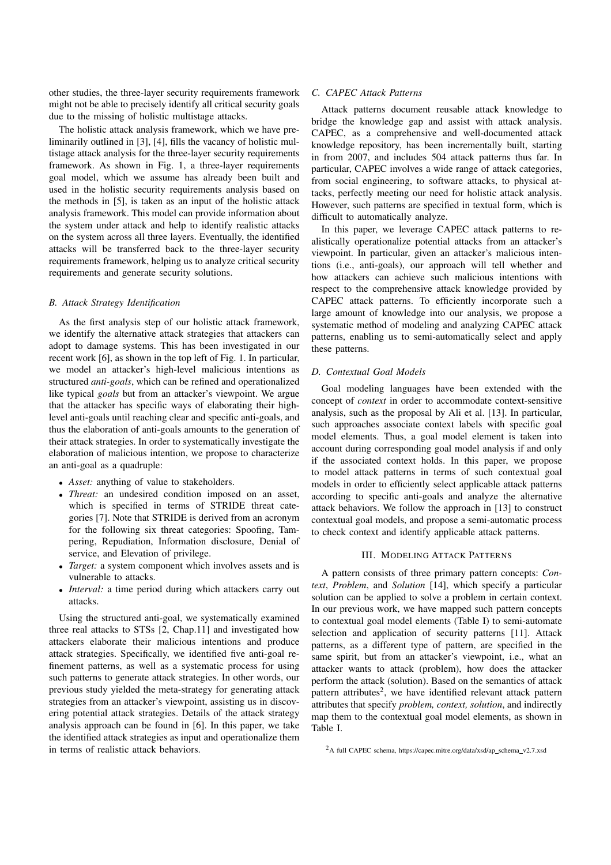other studies, the three-layer security requirements framework might not be able to precisely identify all critical security goals due to the missing of holistic multistage attacks.

The holistic attack analysis framework, which we have preliminarily outlined in [3], [4], fills the vacancy of holistic multistage attack analysis for the three-layer security requirements framework. As shown in Fig. 1, a three-layer requirements goal model, which we assume has already been built and used in the holistic security requirements analysis based on the methods in [5], is taken as an input of the holistic attack analysis framework. This model can provide information about the system under attack and help to identify realistic attacks on the system across all three layers. Eventually, the identified attacks will be transferred back to the three-layer security requirements framework, helping us to analyze critical security requirements and generate security solutions.

# *B. Attack Strategy Identification*

As the first analysis step of our holistic attack framework, we identify the alternative attack strategies that attackers can adopt to damage systems. This has been investigated in our recent work [6], as shown in the top left of Fig. 1. In particular, we model an attacker's high-level malicious intentions as structured *anti-goals*, which can be refined and operationalized like typical *goals* but from an attacker's viewpoint. We argue that the attacker has specific ways of elaborating their highlevel anti-goals until reaching clear and specific anti-goals, and thus the elaboration of anti-goals amounts to the generation of their attack strategies. In order to systematically investigate the elaboration of malicious intention, we propose to characterize an anti-goal as a quadruple:

- *• Asset:* anything of value to stakeholders.
- *• Threat:* an undesired condition imposed on an asset, which is specified in terms of STRIDE threat categories [7]. Note that STRIDE is derived from an acronym for the following six threat categories: Spoofing, Tampering, Repudiation, Information disclosure, Denial of service, and Elevation of privilege.
- *• Target:* a system component which involves assets and is vulnerable to attacks.
- *Interval:* a time period during which attackers carry out attacks.

Using the structured anti-goal, we systematically examined three real attacks to STSs [2, Chap.11] and investigated how attackers elaborate their malicious intentions and produce attack strategies. Specifically, we identified five anti-goal refinement patterns, as well as a systematic process for using such patterns to generate attack strategies. In other words, our previous study yielded the meta-strategy for generating attack strategies from an attacker's viewpoint, assisting us in discovering potential attack strategies. Details of the attack strategy analysis approach can be found in [6]. In this paper, we take the identified attack strategies as input and operationalize them in terms of realistic attack behaviors.

# *C. CAPEC Attack Patterns*

Attack patterns document reusable attack knowledge to bridge the knowledge gap and assist with attack analysis. CAPEC, as a comprehensive and well-documented attack knowledge repository, has been incrementally built, starting in from 2007, and includes 504 attack patterns thus far. In particular, CAPEC involves a wide range of attack categories, from social engineering, to software attacks, to physical attacks, perfectly meeting our need for holistic attack analysis. However, such patterns are specified in textual form, which is difficult to automatically analyze.

In this paper, we leverage CAPEC attack patterns to realistically operationalize potential attacks from an attacker's viewpoint. In particular, given an attacker's malicious intentions (i.e., anti-goals), our approach will tell whether and how attackers can achieve such malicious intentions with respect to the comprehensive attack knowledge provided by CAPEC attack patterns. To efficiently incorporate such a large amount of knowledge into our analysis, we propose a systematic method of modeling and analyzing CAPEC attack patterns, enabling us to semi-automatically select and apply these patterns.

## *D. Contextual Goal Models*

Goal modeling languages have been extended with the concept of *context* in order to accommodate context-sensitive analysis, such as the proposal by Ali et al. [13]. In particular, such approaches associate context labels with specific goal model elements. Thus, a goal model element is taken into account during corresponding goal model analysis if and only if the associated context holds. In this paper, we propose to model attack patterns in terms of such contextual goal models in order to efficiently select applicable attack patterns according to specific anti-goals and analyze the alternative attack behaviors. We follow the approach in [13] to construct contextual goal models, and propose a semi-automatic process to check context and identify applicable attack patterns.

# III. MODELING ATTACK PATTERNS

A pattern consists of three primary pattern concepts: *Context*, *Problem*, and *Solution* [14], which specify a particular solution can be applied to solve a problem in certain context. In our previous work, we have mapped such pattern concepts to contextual goal model elements (Table I) to semi-automate selection and application of security patterns [11]. Attack patterns, as a different type of pattern, are specified in the same spirit, but from an attacker's viewpoint, i.e., what an attacker wants to attack (problem), how does the attacker perform the attack (solution). Based on the semantics of attack pattern attributes<sup>2</sup>, we have identified relevant attack pattern attributes that specify *problem, context, solution*, and indirectly map them to the contextual goal model elements, as shown in Table I.

<sup>2</sup>A full CAPEC schema, https://capec.mitre.org/data/xsd/ap schema v2.7.xsd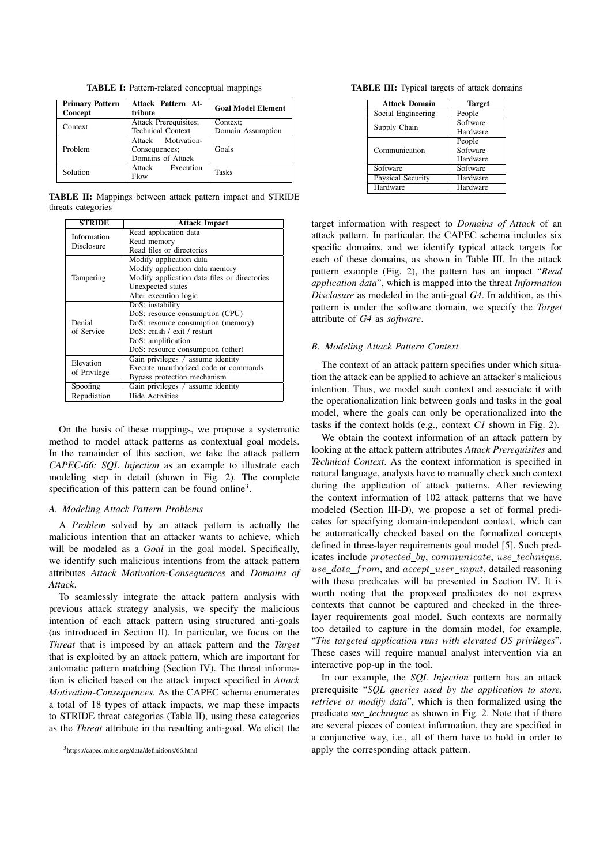TABLE I: Pattern-related conceptual mappings

| <b>Primary Pattern</b><br>Concept | Attack Pattern At-<br>tribute | <b>Goal Model Element</b> |
|-----------------------------------|-------------------------------|---------------------------|
| Context                           | <b>Attack Prerequisites;</b>  | Context:                  |
|                                   | <b>Technical Context</b>      | Domain Assumption         |
| Problem                           | Attack Motivation-            |                           |
|                                   | Consequences:                 | Goals                     |
|                                   | Domains of Attack             |                           |
| Solution                          | Execution<br>Attack           | Tasks                     |
|                                   | Flow                          |                           |

TABLE II: Mappings between attack pattern impact and STRIDE threats categories

| <b>STRIDE</b>             | <b>Attack Impact</b>                         |  |
|---------------------------|----------------------------------------------|--|
| Information<br>Disclosure | Read application data                        |  |
|                           | Read memory                                  |  |
|                           | Read files or directories                    |  |
| Tampering                 | Modify application data                      |  |
|                           | Modify application data memory               |  |
|                           | Modify application data files or directories |  |
|                           | Unexpected states                            |  |
|                           | Alter execution logic                        |  |
| Denial<br>of Service      | DoS: instability                             |  |
|                           | DoS: resource consumption (CPU)              |  |
|                           | DoS: resource consumption (memory)           |  |
|                           | DoS: crash / exit / restart                  |  |
|                           | DoS: amplification                           |  |
|                           | DoS: resource consumption (other)            |  |
| Elevation<br>of Privilege | Gain privileges / assume identity            |  |
|                           | Execute unauthorized code or commands        |  |
|                           | Bypass protection mechanism                  |  |
| Spoofing                  | Gain privileges / assume identity            |  |
| Repudiation               | <b>Hide Activities</b>                       |  |

On the basis of these mappings, we propose a systematic method to model attack patterns as contextual goal models. In the remainder of this section, we take the attack pattern *CAPEC-66: SQL Injection* as an example to illustrate each modeling step in detail (shown in Fig. 2). The complete specification of this pattern can be found online<sup>3</sup>.

## *A. Modeling Attack Pattern Problems*

A *Problem* solved by an attack pattern is actually the malicious intention that an attacker wants to achieve, which will be modeled as a *Goal* in the goal model. Specifically, we identify such malicious intentions from the attack pattern attributes *Attack Motivation-Consequences* and *Domains of Attack*.

To seamlessly integrate the attack pattern analysis with previous attack strategy analysis, we specify the malicious intention of each attack pattern using structured anti-goals (as introduced in Section II). In particular, we focus on the *Threat* that is imposed by an attack pattern and the *Target* that is exploited by an attack pattern, which are important for automatic pattern matching (Section IV). The threat information is elicited based on the attack impact specified in *Attack Motivation-Consequences*. As the CAPEC schema enumerates a total of 18 types of attack impacts, we map these impacts to STRIDE threat categories (Table II), using these categories as the *Threat* attribute in the resulting anti-goal. We elicit the

TABLE III: Typical targets of attack domains

| <b>Attack Domain</b> | <b>Target</b> |
|----------------------|---------------|
| Social Engineering   | People        |
| Supply Chain         | Software      |
|                      | Hardware      |
|                      | People        |
| Communication        | Software      |
|                      | Hardware      |
| Software             | Software      |
| Physical Security    | Hardware      |
| Hardware             | Hardware      |

target information with respect to *Domains of Attack* of an attack pattern. In particular, the CAPEC schema includes six specific domains, and we identify typical attack targets for each of these domains, as shown in Table III. In the attack pattern example (Fig. 2), the pattern has an impact "*Read application data*", which is mapped into the threat *Information Disclosure* as modeled in the anti-goal *G4*. In addition, as this pattern is under the software domain, we specify the *Target* attribute of *G4* as *software*.

# *B. Modeling Attack Pattern Context*

The context of an attack pattern specifies under which situation the attack can be applied to achieve an attacker's malicious intention. Thus, we model such context and associate it with the operationalization link between goals and tasks in the goal model, where the goals can only be operationalized into the tasks if the context holds (e.g., context *C1* shown in Fig. 2).

We obtain the context information of an attack pattern by looking at the attack pattern attributes *Attack Prerequisites* and *Technical Context*. As the context information is specified in natural language, analysts have to manually check such context during the application of attack patterns. After reviewing the context information of 102 attack patterns that we have modeled (Section III-D), we propose a set of formal predicates for specifying domain-independent context, which can be automatically checked based on the formalized concepts defined in three-layer requirements goal model [5]. Such predicates include *protected by*, *communicate*, *use technique*, *use data from*, and *accept user input*, detailed reasoning with these predicates will be presented in Section IV. It is worth noting that the proposed predicates do not express contexts that cannot be captured and checked in the threelayer requirements goal model. Such contexts are normally too detailed to capture in the domain model, for example, "*The targeted application runs with elevated OS privileges*". These cases will require manual analyst intervention via an interactive pop-up in the tool.

In our example, the *SQL Injection* pattern has an attack prerequisite "*SQL queries used by the application to store, retrieve or modify data*", which is then formalized using the predicate *use\_technique* as shown in Fig. 2. Note that if there are several pieces of context information, they are specified in a conjunctive way, i.e., all of them have to hold in order to apply the corresponding attack pattern.

<sup>3</sup>https://capec.mitre.org/data/definitions/66.html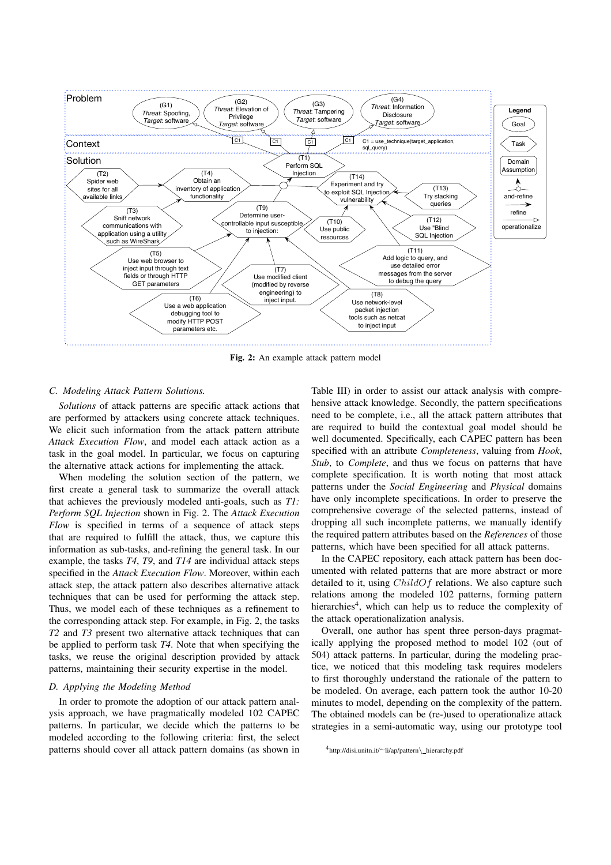

Fig. 2: An example attack pattern model

#### *C. Modeling Attack Pattern Solutions.*

*Solutions* of attack patterns are specific attack actions that are performed by attackers using concrete attack techniques. We elicit such information from the attack pattern attribute *Attack Execution Flow*, and model each attack action as a task in the goal model. In particular, we focus on capturing the alternative attack actions for implementing the attack.

When modeling the solution section of the pattern, we first create a general task to summarize the overall attack that achieves the previously modeled anti-goals, such as *T1: Perform SQL Injection* shown in Fig. 2. The *Attack Execution Flow* is specified in terms of a sequence of attack steps that are required to fulfill the attack, thus, we capture this information as sub-tasks, and-refining the general task. In our example, the tasks *T4*, *T9*, and *T14* are individual attack steps specified in the *Attack Execution Flow*. Moreover, within each attack step, the attack pattern also describes alternative attack techniques that can be used for performing the attack step. Thus, we model each of these techniques as a refinement to the corresponding attack step. For example, in Fig. 2, the tasks *T2* and *T3* present two alternative attack techniques that can be applied to perform task *T4*. Note that when specifying the tasks, we reuse the original description provided by attack patterns, maintaining their security expertise in the model.

# *D. Applying the Modeling Method*

In order to promote the adoption of our attack pattern analysis approach, we have pragmatically modeled 102 CAPEC patterns. In particular, we decide which the patterns to be modeled according to the following criteria: first, the select patterns should cover all attack pattern domains (as shown in

Table III) in order to assist our attack analysis with comprehensive attack knowledge. Secondly, the pattern specifications need to be complete, i.e., all the attack pattern attributes that are required to build the contextual goal model should be well documented. Specifically, each CAPEC pattern has been specified with an attribute *Completeness*, valuing from *Hook*, *Stub*, to *Complete*, and thus we focus on patterns that have complete specification. It is worth noting that most attack patterns under the *Social Engineering* and *Physical* domains have only incomplete specifications. In order to preserve the comprehensive coverage of the selected patterns, instead of dropping all such incomplete patterns, we manually identify the required pattern attributes based on the *References* of those patterns, which have been specified for all attack patterns.

In the CAPEC repository, each attack pattern has been documented with related patterns that are more abstract or more detailed to it, using *ChildOf* relations. We also capture such relations among the modeled 102 patterns, forming pattern hierarchies<sup>4</sup>, which can help us to reduce the complexity of the attack operationalization analysis.

Overall, one author has spent three person-days pragmatically applying the proposed method to model 102 (out of 504) attack patterns. In particular, during the modeling practice, we noticed that this modeling task requires modelers to first thoroughly understand the rationale of the pattern to be modeled. On average, each pattern took the author 10-20 minutes to model, depending on the complexity of the pattern. The obtained models can be (re-)used to operationalize attack strategies in a semi-automatic way, using our prototype tool

<sup>4</sup>http://disi.unitn.it/⇠li/ap/pattern*\* hierarchy.pdf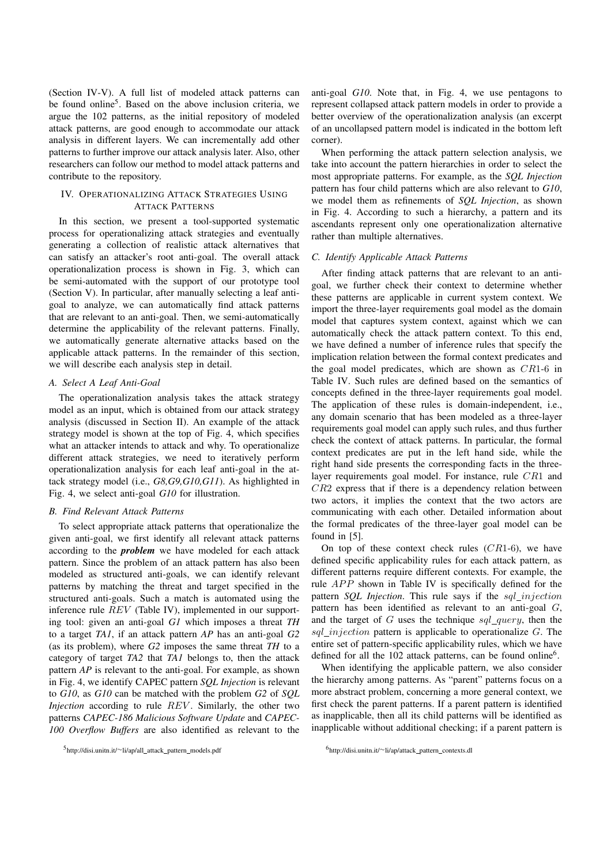(Section IV-V). A full list of modeled attack patterns can be found online<sup>5</sup>. Based on the above inclusion criteria, we argue the 102 patterns, as the initial repository of modeled attack patterns, are good enough to accommodate our attack analysis in different layers. We can incrementally add other patterns to further improve our attack analysis later. Also, other researchers can follow our method to model attack patterns and contribute to the repository.

# IV. OPERATIONALIZING ATTACK STRATEGIES USING ATTACK PATTERNS

In this section, we present a tool-supported systematic process for operationalizing attack strategies and eventually generating a collection of realistic attack alternatives that can satisfy an attacker's root anti-goal. The overall attack operationalization process is shown in Fig. 3, which can be semi-automated with the support of our prototype tool (Section V). In particular, after manually selecting a leaf antigoal to analyze, we can automatically find attack patterns that are relevant to an anti-goal. Then, we semi-automatically determine the applicability of the relevant patterns. Finally, we automatically generate alternative attacks based on the applicable attack patterns. In the remainder of this section, we will describe each analysis step in detail.

## *A. Select A Leaf Anti-Goal*

The operationalization analysis takes the attack strategy model as an input, which is obtained from our attack strategy analysis (discussed in Section II). An example of the attack strategy model is shown at the top of Fig. 4, which specifies what an attacker intends to attack and why. To operationalize different attack strategies, we need to iteratively perform operationalization analysis for each leaf anti-goal in the attack strategy model (i.e., *G8,G9,G10,G11*). As highlighted in Fig. 4, we select anti-goal *G10* for illustration.

# *B. Find Relevant Attack Patterns*

To select appropriate attack patterns that operationalize the given anti-goal, we first identify all relevant attack patterns according to the *problem* we have modeled for each attack pattern. Since the problem of an attack pattern has also been modeled as structured anti-goals, we can identify relevant patterns by matching the threat and target specified in the structured anti-goals. Such a match is automated using the inference rule *REV* (Table IV), implemented in our supporting tool: given an anti-goal *G1* which imposes a threat *TH* to a target *TA1*, if an attack pattern *AP* has an anti-goal *G2* (as its problem), where *G2* imposes the same threat *TH* to a category of target *TA2* that *TA1* belongs to, then the attack pattern *AP* is relevant to the anti-goal. For example, as shown in Fig. 4, we identify CAPEC pattern *SQL Injection* is relevant to *G10*, as *G10* can be matched with the problem *G2* of *SQL Injection* according to rule *REV*. Similarly, the other two patterns *CAPEC-186 Malicious Software Update* and *CAPEC-100 Overflow Buffers* are also identified as relevant to the

anti-goal *G10*. Note that, in Fig. 4, we use pentagons to represent collapsed attack pattern models in order to provide a better overview of the operationalization analysis (an excerpt of an uncollapsed pattern model is indicated in the bottom left corner).

When performing the attack pattern selection analysis, we take into account the pattern hierarchies in order to select the most appropriate patterns. For example, as the *SQL Injection* pattern has four child patterns which are also relevant to *G10*, we model them as refinements of *SQL Injection*, as shown in Fig. 4. According to such a hierarchy, a pattern and its ascendants represent only one operationalization alternative rather than multiple alternatives.

# *C. Identify Applicable Attack Patterns*

After finding attack patterns that are relevant to an antigoal, we further check their context to determine whether these patterns are applicable in current system context. We import the three-layer requirements goal model as the domain model that captures system context, against which we can automatically check the attack pattern context. To this end, we have defined a number of inference rules that specify the implication relation between the formal context predicates and the goal model predicates, which are shown as *CR*1-6 in Table IV. Such rules are defined based on the semantics of concepts defined in the three-layer requirements goal model. The application of these rules is domain-independent, i.e., any domain scenario that has been modeled as a three-layer requirements goal model can apply such rules, and thus further check the context of attack patterns. In particular, the formal context predicates are put in the left hand side, while the right hand side presents the corresponding facts in the threelayer requirements goal model. For instance, rule *CR*1 and *CR*2 express that if there is a dependency relation between two actors, it implies the context that the two actors are communicating with each other. Detailed information about the formal predicates of the three-layer goal model can be found in [5].

On top of these context check rules (*CR*1-6), we have defined specific applicability rules for each attack pattern, as different patterns require different contexts. For example, the rule *APP* shown in Table IV is specifically defined for the pattern *SQL Injection*. This rule says if the *sql injection* pattern has been identified as relevant to an anti-goal *G*, and the target of *G* uses the technique *sql query*, then the *sql injection* pattern is applicable to operationalize *G*. The entire set of pattern-specific applicability rules, which we have defined for all the 102 attack patterns, can be found online<sup>6</sup>.

When identifying the applicable pattern, we also consider the hierarchy among patterns. As "parent" patterns focus on a more abstract problem, concerning a more general context, we first check the parent patterns. If a parent pattern is identified as inapplicable, then all its child patterns will be identified as inapplicable without additional checking; if a parent pattern is

 $5$ http://disi.unitn.it/~li/ap/all attack pattern models.pdf

 $6$ http://disi.unitn.it/~li/ap/attack pattern contexts.dl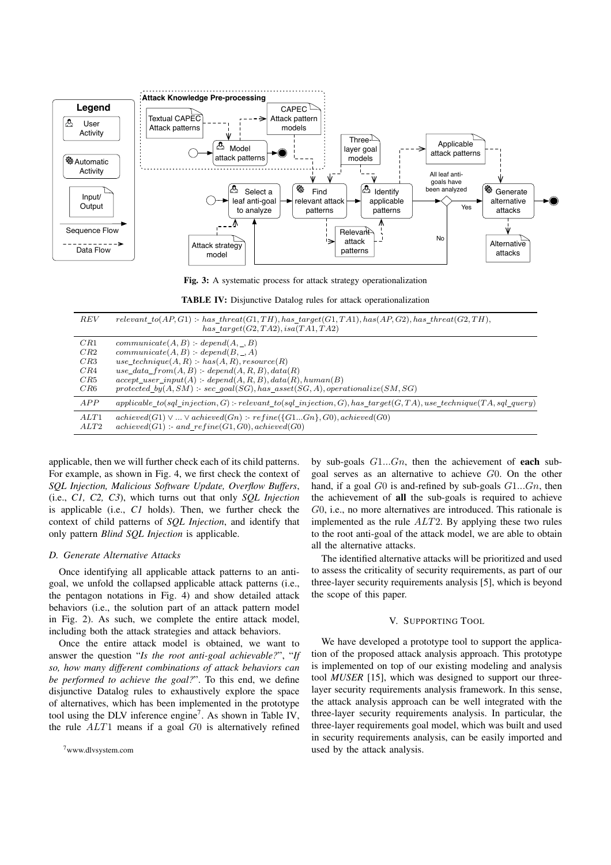

Fig. 3: A systematic process for attack strategy operationalization

TABLE IV: Disjunctive Datalog rules for attack operationalization

| REV  | $relevant\_to(AP, G1)$ :- $has\_thread(G1, TH), has\_target(G1, TA1), has(AP, G2), has\_thread(G2, TH),$<br>has $target(G2, TA2), isa(TA1, TA2)$ |
|------|--------------------------------------------------------------------------------------------------------------------------------------------------|
| CR1  | $communicate(A, B) : depend(A, \_, B)$                                                                                                           |
| CR2  | $communicate(A, B) : depend(B, \_, A)$                                                                                                           |
| CR3  | use_technique(A, R) :- has(A, R), resource(R)                                                                                                    |
| CR4  | use_data_from(A, B) :- depend(A, R, B), data(R)                                                                                                  |
| CR5  | $accept\_user\_input(A) : depend(A, R, B), data(R), human(B)$                                                                                    |
| CR6  | $protected_by(A,SM)$ : $sec\_goal(SG)$ , $has\_asset(SG, A)$ , operationalize(SM, SG)                                                            |
| APP  | $applicable\_to(sql\_injection,G)$ :-relevant_to(sql_injection, G), has_target(G,TA), use_technique(TA, sql_query)                               |
| ALT1 | $achieved(G1) \vee  \vee achieved(Gn) : refine(\{G1Gn\}, G0), achieved(G0)$                                                                      |
| ALT2 | $achieved(G1)$ : and_refine(G1, G0), achieved(G0)                                                                                                |

applicable, then we will further check each of its child patterns. For example, as shown in Fig. 4, we first check the context of *SQL Injection, Malicious Software Update, Overflow Buffers*, (i.e., *C1, C2, C3*), which turns out that only *SQL Injection* is applicable (i.e., *C1* holds). Then, we further check the context of child patterns of *SQL Injection*, and identify that only pattern *Blind SQL Injection* is applicable.

#### *D. Generate Alternative Attacks*

 $\overline{a}$ 

Once identifying all applicable attack patterns to an antigoal, we unfold the collapsed applicable attack patterns (i.e., the pentagon notations in Fig. 4) and show detailed attack behaviors (i.e., the solution part of an attack pattern model in Fig. 2). As such, we complete the entire attack model, including both the attack strategies and attack behaviors.

Once the entire attack model is obtained, we want to answer the question "*Is the root anti-goal achievable?*", "*If so, how many different combinations of attack behaviors can be performed to achieve the goal?*". To this end, we define disjunctive Datalog rules to exhaustively explore the space of alternatives, which has been implemented in the prototype tool using the DLV inference engine<sup>7</sup>. As shown in Table IV, the rule *ALT*1 means if a goal *G*0 is alternatively refined

by sub-goals *G*1*...Gn*, then the achievement of each subgoal serves as an alternative to achieve *G*0. On the other hand, if a goal *G*0 is and-refined by sub-goals *G*1*...Gn*, then the achievement of all the sub-goals is required to achieve *G*0, i.e., no more alternatives are introduced. This rationale is implemented as the rule *ALT*2. By applying these two rules to the root anti-goal of the attack model, we are able to obtain all the alternative attacks.

The identified alternative attacks will be prioritized and used to assess the criticality of security requirements, as part of our three-layer security requirements analysis [5], which is beyond the scope of this paper.

#### V. SUPPORTING TOOL

We have developed a prototype tool to support the application of the proposed attack analysis approach. This prototype is implemented on top of our existing modeling and analysis tool *MUSER* [15], which was designed to support our threelayer security requirements analysis framework. In this sense, the attack analysis approach can be well integrated with the three-layer security requirements analysis. In particular, the three-layer requirements goal model, which was built and used in security requirements analysis, can be easily imported and used by the attack analysis.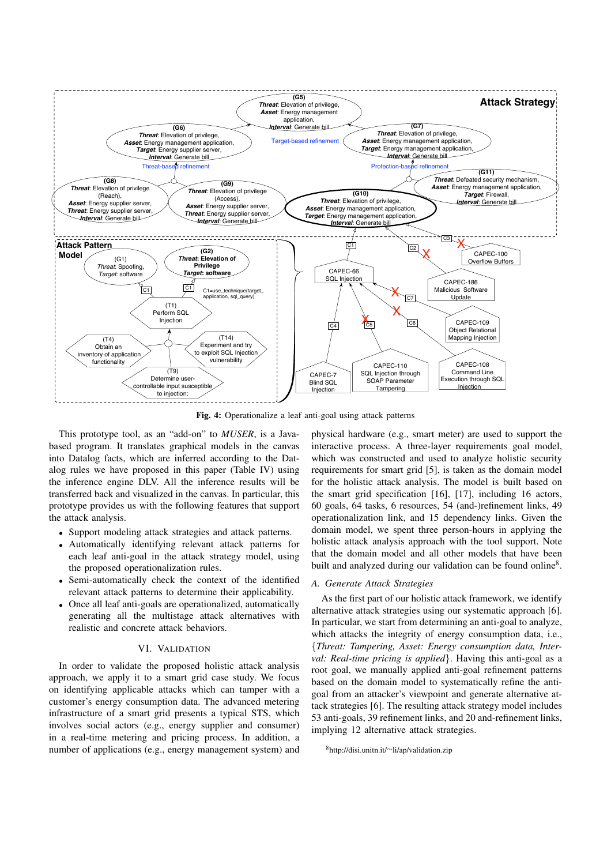

Fig. 4: Operationalize a leaf anti-goal using attack patterns

This prototype tool, as an "add-on" to *MUSER*, is a Javabased program. It translates graphical models in the canvas into Datalog facts, which are inferred according to the Datalog rules we have proposed in this paper (Table IV) using the inference engine DLV. All the inference results will be transferred back and visualized in the canvas. In particular, this prototype provides us with the following features that support the attack analysis.

- *•* Support modeling attack strategies and attack patterns.
- *•* Automatically identifying relevant attack patterns for each leaf anti-goal in the attack strategy model, using the proposed operationalization rules.
- *•* Semi-automatically check the context of the identified relevant attack patterns to determine their applicability.
- *•* Once all leaf anti-goals are operationalized, automatically generating all the multistage attack alternatives with realistic and concrete attack behaviors.

# VI. VALIDATION

In order to validate the proposed holistic attack analysis approach, we apply it to a smart grid case study. We focus on identifying applicable attacks which can tamper with a customer's energy consumption data. The advanced metering infrastructure of a smart grid presents a typical STS, which involves social actors (e.g., energy supplier and consumer) in a real-time metering and pricing process. In addition, a number of applications (e.g., energy management system) and

physical hardware (e.g., smart meter) are used to support the interactive process. A three-layer requirements goal model, which was constructed and used to analyze holistic security requirements for smart grid [5], is taken as the domain model for the holistic attack analysis. The model is built based on the smart grid specification [16], [17], including 16 actors, 60 goals, 64 tasks, 6 resources, 54 (and-)refinement links, 49 operationalization link, and 15 dependency links. Given the domain model, we spent three person-hours in applying the holistic attack analysis approach with the tool support. Note that the domain model and all other models that have been built and analyzed during our validation can be found online<sup>8</sup>.

#### *A. Generate Attack Strategies*

As the first part of our holistic attack framework, we identify alternative attack strategies using our systematic approach [6]. In particular, we start from determining an anti-goal to analyze, which attacks the integrity of energy consumption data, i.e., *{Threat: Tampering, Asset: Energy consumption data, Interval: Real-time pricing is applied}*. Having this anti-goal as a root goal, we manually applied anti-goal refinement patterns based on the domain model to systematically refine the antigoal from an attacker's viewpoint and generate alternative attack strategies [6]. The resulting attack strategy model includes 53 anti-goals, 39 refinement links, and 20 and-refinement links, implying 12 alternative attack strategies.

<sup>&</sup>lt;sup>8</sup>http://disi.unitn.it/∼li/ap/validation.zip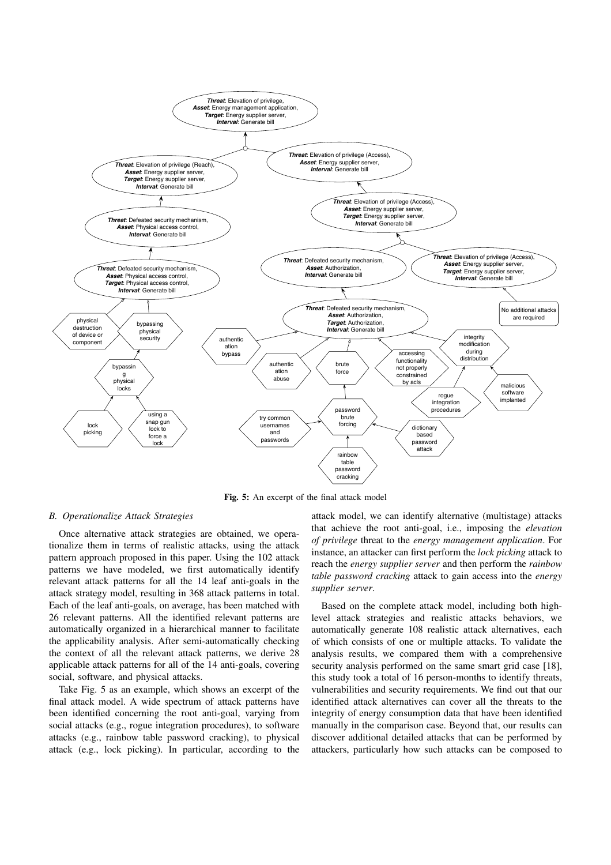

Fig. 5: An excerpt of the final attack model

# *B. Operationalize Attack Strategies*

Once alternative attack strategies are obtained, we operationalize them in terms of realistic attacks, using the attack pattern approach proposed in this paper. Using the 102 attack patterns we have modeled, we first automatically identify relevant attack patterns for all the 14 leaf anti-goals in the attack strategy model, resulting in 368 attack patterns in total. Each of the leaf anti-goals, on average, has been matched with 26 relevant patterns. All the identified relevant patterns are automatically organized in a hierarchical manner to facilitate the applicability analysis. After semi-automatically checking the context of all the relevant attack patterns, we derive 28 applicable attack patterns for all of the 14 anti-goals, covering social, software, and physical attacks.

Take Fig. 5 as an example, which shows an excerpt of the final attack model. A wide spectrum of attack patterns have been identified concerning the root anti-goal, varying from social attacks (e.g., rogue integration procedures), to software attacks (e.g., rainbow table password cracking), to physical attack (e.g., lock picking). In particular, according to the

attack model, we can identify alternative (multistage) attacks that achieve the root anti-goal, i.e., imposing the *elevation of privilege* threat to the *energy management application*. For instance, an attacker can first perform the *lock picking* attack to reach the *energy supplier server* and then perform the *rainbow table password cracking* attack to gain access into the *energy supplier server*.

Based on the complete attack model, including both highlevel attack strategies and realistic attacks behaviors, we automatically generate 108 realistic attack alternatives, each of which consists of one or multiple attacks. To validate the analysis results, we compared them with a comprehensive security analysis performed on the same smart grid case [18], this study took a total of 16 person-months to identify threats, vulnerabilities and security requirements. We find out that our identified attack alternatives can cover all the threats to the integrity of energy consumption data that have been identified manually in the comparison case. Beyond that, our results can discover additional detailed attacks that can be performed by attackers, particularly how such attacks can be composed to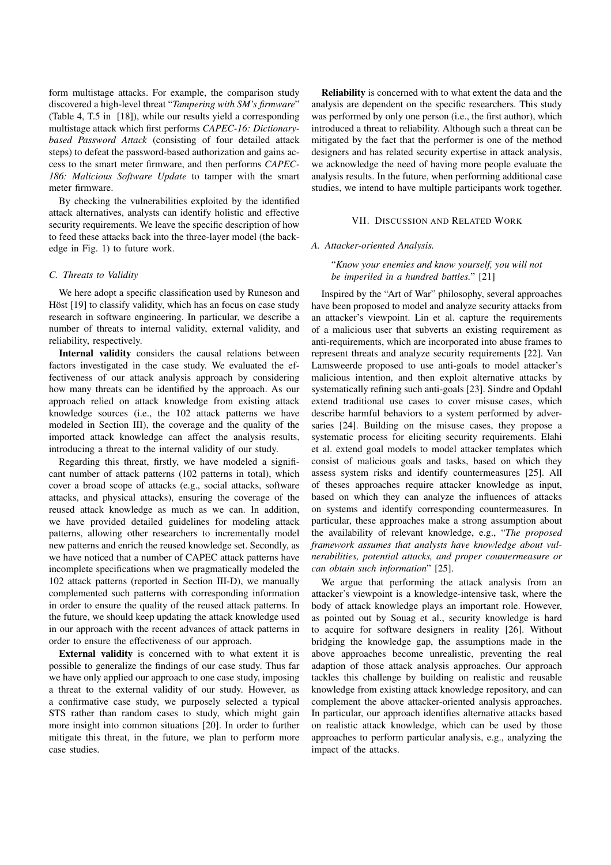form multistage attacks. For example, the comparison study discovered a high-level threat "*Tampering with SM's firmware*" (Table 4, T.5 in [18]), while our results yield a corresponding multistage attack which first performs *CAPEC-16: Dictionarybased Password Attack* (consisting of four detailed attack steps) to defeat the password-based authorization and gains access to the smart meter firmware, and then performs *CAPEC-186: Malicious Software Update* to tamper with the smart meter firmware.

By checking the vulnerabilities exploited by the identified attack alternatives, analysts can identify holistic and effective security requirements. We leave the specific description of how to feed these attacks back into the three-layer model (the backedge in Fig. 1) to future work.

# *C. Threats to Validity*

We here adopt a specific classification used by Runeson and Höst [19] to classify validity, which has an focus on case study research in software engineering. In particular, we describe a number of threats to internal validity, external validity, and reliability, respectively.

Internal validity considers the causal relations between factors investigated in the case study. We evaluated the effectiveness of our attack analysis approach by considering how many threats can be identified by the approach. As our approach relied on attack knowledge from existing attack knowledge sources (i.e., the 102 attack patterns we have modeled in Section III), the coverage and the quality of the imported attack knowledge can affect the analysis results, introducing a threat to the internal validity of our study.

Regarding this threat, firstly, we have modeled a significant number of attack patterns (102 patterns in total), which cover a broad scope of attacks (e.g., social attacks, software attacks, and physical attacks), ensuring the coverage of the reused attack knowledge as much as we can. In addition, we have provided detailed guidelines for modeling attack patterns, allowing other researchers to incrementally model new patterns and enrich the reused knowledge set. Secondly, as we have noticed that a number of CAPEC attack patterns have incomplete specifications when we pragmatically modeled the 102 attack patterns (reported in Section III-D), we manually complemented such patterns with corresponding information in order to ensure the quality of the reused attack patterns. In the future, we should keep updating the attack knowledge used in our approach with the recent advances of attack patterns in order to ensure the effectiveness of our approach.

External validity is concerned with to what extent it is possible to generalize the findings of our case study. Thus far we have only applied our approach to one case study, imposing a threat to the external validity of our study. However, as a confirmative case study, we purposely selected a typical STS rather than random cases to study, which might gain more insight into common situations [20]. In order to further mitigate this threat, in the future, we plan to perform more case studies.

Reliability is concerned with to what extent the data and the analysis are dependent on the specific researchers. This study was performed by only one person (i.e., the first author), which introduced a threat to reliability. Although such a threat can be mitigated by the fact that the performer is one of the method designers and has related security expertise in attack analysis, we acknowledge the need of having more people evaluate the analysis results. In the future, when performing additional case studies, we intend to have multiple participants work together.

## VII. DISCUSSION AND RELATED WORK

# *A. Attacker-oriented Analysis.*

# "*Know your enemies and know yourself, you will not be imperiled in a hundred battles.*" [21]

Inspired by the "Art of War" philosophy, several approaches have been proposed to model and analyze security attacks from an attacker's viewpoint. Lin et al. capture the requirements of a malicious user that subverts an existing requirement as anti-requirements, which are incorporated into abuse frames to represent threats and analyze security requirements [22]. Van Lamsweerde proposed to use anti-goals to model attacker's malicious intention, and then exploit alternative attacks by systematically refining such anti-goals [23]. Sindre and Opdahl extend traditional use cases to cover misuse cases, which describe harmful behaviors to a system performed by adversaries [24]. Building on the misuse cases, they propose a systematic process for eliciting security requirements. Elahi et al. extend goal models to model attacker templates which consist of malicious goals and tasks, based on which they assess system risks and identify countermeasures [25]. All of theses approaches require attacker knowledge as input, based on which they can analyze the influences of attacks on systems and identify corresponding countermeasures. In particular, these approaches make a strong assumption about the availability of relevant knowledge, e.g., "*The proposed framework assumes that analysts have knowledge about vulnerabilities, potential attacks, and proper countermeasure or can obtain such information*" [25].

We argue that performing the attack analysis from an attacker's viewpoint is a knowledge-intensive task, where the body of attack knowledge plays an important role. However, as pointed out by Souag et al., security knowledge is hard to acquire for software designers in reality [26]. Without bridging the knowledge gap, the assumptions made in the above approaches become unrealistic, preventing the real adaption of those attack analysis approaches. Our approach tackles this challenge by building on realistic and reusable knowledge from existing attack knowledge repository, and can complement the above attacker-oriented analysis approaches. In particular, our approach identifies alternative attacks based on realistic attack knowledge, which can be used by those approaches to perform particular analysis, e.g., analyzing the impact of the attacks.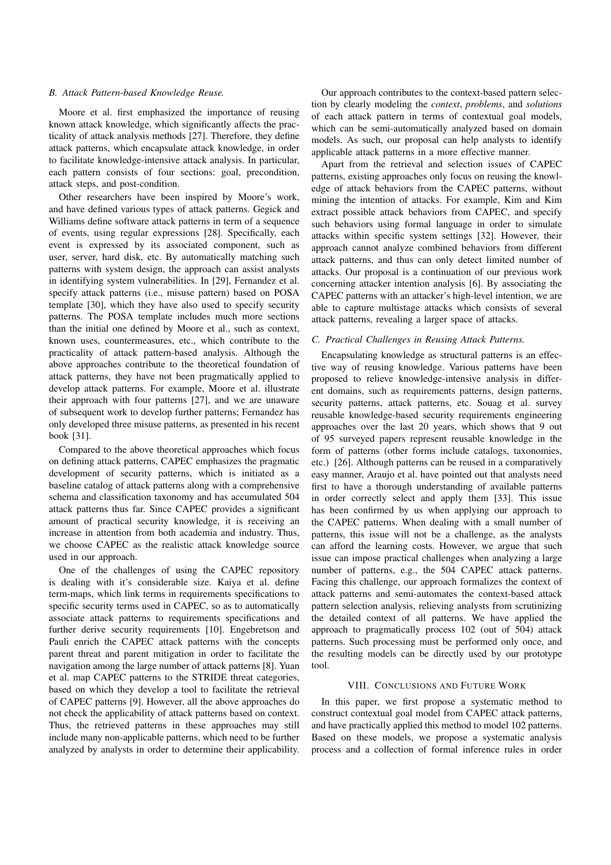#### *B. Attack Pattern-based Knowledge Reuse.*

Moore et al. first emphasized the importance of reusing known attack knowledge, which significantly affects the practicality of attack analysis methods [27]. Therefore, they define attack patterns, which encapsulate attack knowledge, in order to facilitate knowledge-intensive attack analysis. In particular, each pattern consists of four sections: goal, precondition, attack steps, and post-condition.

Other researchers have been inspired by Moore's work, and have defined various types of attack patterns. Gegick and Williams define software attack patterns in term of a sequence of events, using regular expressions [28]. Specifically, each event is expressed by its associated component, such as user, server, hard disk, etc. By automatically matching such patterns with system design, the approach can assist analysts in identifying system vulnerabilities. In [29], Fernandez et al. specify attack patterns (i.e., misuse pattern) based on POSA template [30], which they have also used to specify security patterns. The POSA template includes much more sections than the initial one defined by Moore et al., such as context, known uses, countermeasures, etc., which contribute to the practicality of attack pattern-based analysis. Although the above approaches contribute to the theoretical foundation of attack patterns, they have not been pragmatically applied to develop attack patterns. For example, Moore et al. illustrate their approach with four patterns [27], and we are unaware of subsequent work to develop further patterns; Fernandez has only developed three misuse patterns, as presented in his recent book [31].

Compared to the above theoretical approaches which focus on defining attack patterns, CAPEC emphasizes the pragmatic development of security patterns, which is initiated as a baseline catalog of attack patterns along with a comprehensive schema and classification taxonomy and has accumulated 504 attack patterns thus far. Since CAPEC provides a significant amount of practical security knowledge, it is receiving an increase in attention from both academia and industry. Thus, we choose CAPEC as the realistic attack knowledge source used in our approach.

One of the challenges of using the CAPEC repository is dealing with it's considerable size. Kaiya et al. define term-maps, which link terms in requirements specifications to specific security terms used in CAPEC, so as to automatically associate attack patterns to requirements specifications and further derive security requirements [10]. Engebretson and Pauli enrich the CAPEC attack patterns with the concepts parent threat and parent mitigation in order to facilitate the navigation among the large number of attack patterns [8]. Yuan et al. map CAPEC patterns to the STRIDE threat categories, based on which they develop a tool to facilitate the retrieval of CAPEC patterns [9]. However, all the above approaches do not check the applicability of attack patterns based on context. Thus, the retrieved patterns in these approaches may still include many non-applicable patterns, which need to be further analyzed by analysts in order to determine their applicability.

Our approach contributes to the context-based pattern selection by clearly modeling the *context*, *problems*, and *solutions* of each attack pattern in terms of contextual goal models, which can be semi-automatically analyzed based on domain models. As such, our proposal can help analysts to identify applicable attack patterns in a more effective manner.

Apart from the retrieval and selection issues of CAPEC patterns, existing approaches only focus on reusing the knowledge of attack behaviors from the CAPEC patterns, without mining the intention of attacks. For example, Kim and Kim extract possible attack behaviors from CAPEC, and specify such behaviors using formal language in order to simulate attacks within specific system settings [32]. However, their approach cannot analyze combined behaviors from different attack patterns, and thus can only detect limited number of attacks. Our proposal is a continuation of our previous work concerning attacker intention analysis [6]. By associating the CAPEC patterns with an attacker's high-level intention, we are able to capture multistage attacks which consists of several attack patterns, revealing a larger space of attacks.

#### *C. Practical Challenges in Reusing Attack Patterns.*

Encapsulating knowledge as structural patterns is an effective way of reusing knowledge. Various patterns have been proposed to relieve knowledge-intensive analysis in different domains, such as requirements patterns, design patterns, security patterns, attack patterns, etc. Souag et al. survey reusable knowledge-based security requirements engineering approaches over the last 20 years, which shows that 9 out of 95 surveyed papers represent reusable knowledge in the form of patterns (other forms include catalogs, taxonomies, etc.) [26]. Although patterns can be reused in a comparatively easy manner, Araujo et al. have pointed out that analysts need first to have a thorough understanding of available patterns in order correctly select and apply them [33]. This issue has been confirmed by us when applying our approach to the CAPEC patterns. When dealing with a small number of patterns, this issue will not be a challenge, as the analysts can afford the learning costs. However, we argue that such issue can impose practical challenges when analyzing a large number of patterns, e.g., the 504 CAPEC attack patterns. Facing this challenge, our approach formalizes the context of attack patterns and semi-automates the context-based attack pattern selection analysis, relieving analysts from scrutinizing the detailed context of all patterns. We have applied the approach to pragmatically process 102 (out of 504) attack patterns. Such processing must be performed only once, and the resulting models can be directly used by our prototype tool.

#### VIII. CONCLUSIONS AND FUTURE WORK

In this paper, we first propose a systematic method to construct contextual goal model from CAPEC attack patterns, and have practically applied this method to model 102 patterns. Based on these models, we propose a systematic analysis process and a collection of formal inference rules in order